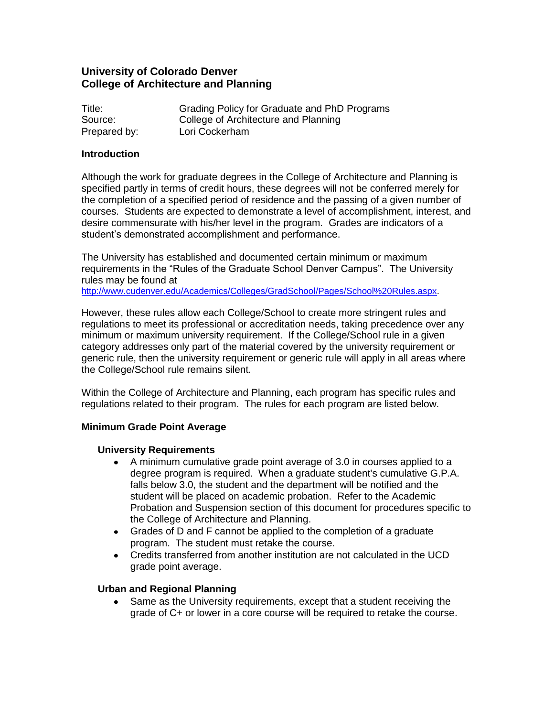# **University of Colorado Denver College of Architecture and Planning**

| Title:       | Grading Policy for Graduate and PhD Programs |
|--------------|----------------------------------------------|
| Source:      | College of Architecture and Planning         |
| Prepared by: | Lori Cockerham                               |

#### **Introduction**

Although the work for graduate degrees in the College of Architecture and Planning is specified partly in terms of credit hours, these degrees will not be conferred merely for the completion of a specified period of residence and the passing of a given number of courses. Students are expected to demonstrate a level of accomplishment, interest, and desire commensurate with his/her level in the program. Grades are indicators of a student's demonstrated accomplishment and performance.

The University has established and documented certain minimum or maximum requirements in the "Rules of the Graduate School Denver Campus". The University rules may be found at

[http://www.cudenver.edu/Academics/Colleges/GradSchool/Pages/School%20Rules.aspx.](http://www.cudenver.edu/Academics/Colleges/GradSchool/Pages/School%20Rules.aspx)

However, these rules allow each College/School to create more stringent rules and regulations to meet its professional or accreditation needs, taking precedence over any minimum or maximum university requirement. If the College/School rule in a given category addresses only part of the material covered by the university requirement or generic rule, then the university requirement or generic rule will apply in all areas where the College/School rule remains silent.

Within the College of Architecture and Planning, each program has specific rules and regulations related to their program. The rules for each program are listed below.

#### **Minimum Grade Point Average**

#### **University Requirements**

- $\bullet$ A minimum cumulative grade point average of 3.0 in courses applied to a degree program is required. When a graduate student's cumulative G.P.A. falls below 3.0, the student and the department will be notified and the student will be placed on academic probation. Refer to the Academic Probation and Suspension section of this document for procedures specific to the College of Architecture and Planning.
- Grades of D and F cannot be applied to the completion of a graduate program. The student must retake the course.
- Credits transferred from another institution are not calculated in the UCD  $\bullet$ grade point average.

## **Urban and Regional Planning**

Same as the University requirements, except that a student receiving the grade of C+ or lower in a core course will be required to retake the course.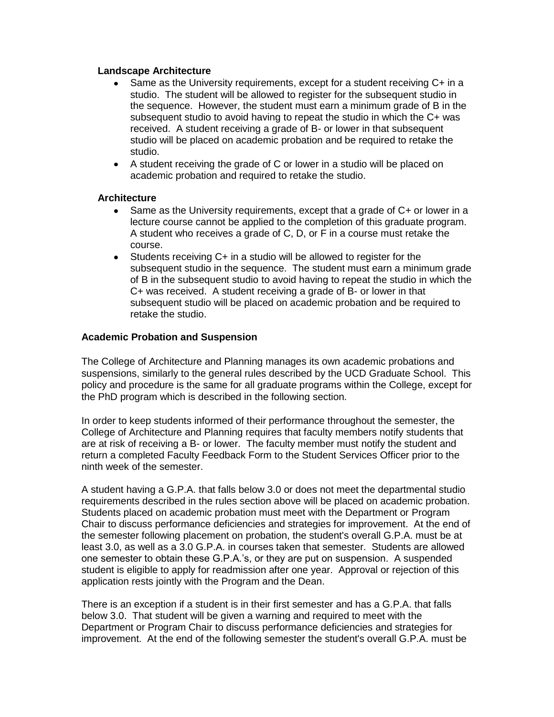### **Landscape Architecture**

- $\bullet$ Same as the University requirements, except for a student receiving C+ in a studio. The student will be allowed to register for the subsequent studio in the sequence. However, the student must earn a minimum grade of B in the subsequent studio to avoid having to repeat the studio in which the C+ was received. A student receiving a grade of B- or lower in that subsequent studio will be placed on academic probation and be required to retake the studio.
- A student receiving the grade of C or lower in a studio will be placed on  $\bullet$ academic probation and required to retake the studio.

### **Architecture**

- Same as the University requirements, except that a grade of C+ or lower in a  $\bullet$ lecture course cannot be applied to the completion of this graduate program. A student who receives a grade of C, D, or F in a course must retake the course.
- $\bullet$ Students receiving C+ in a studio will be allowed to register for the subsequent studio in the sequence. The student must earn a minimum grade of B in the subsequent studio to avoid having to repeat the studio in which the C+ was received. A student receiving a grade of B- or lower in that subsequent studio will be placed on academic probation and be required to retake the studio.

## **Academic Probation and Suspension**

The College of Architecture and Planning manages its own academic probations and suspensions, similarly to the general rules described by the UCD Graduate School. This policy and procedure is the same for all graduate programs within the College, except for the PhD program which is described in the following section.

In order to keep students informed of their performance throughout the semester, the College of Architecture and Planning requires that faculty members notify students that are at risk of receiving a B- or lower. The faculty member must notify the student and return a completed Faculty Feedback Form to the Student Services Officer prior to the ninth week of the semester.

A student having a G.P.A. that falls below 3.0 or does not meet the departmental studio requirements described in the rules section above will be placed on academic probation. Students placed on academic probation must meet with the Department or Program Chair to discuss performance deficiencies and strategies for improvement. At the end of the semester following placement on probation, the student's overall G.P.A. must be at least 3.0, as well as a 3.0 G.P.A. in courses taken that semester. Students are allowed one semester to obtain these G.P.A.'s, or they are put on suspension. A suspended student is eligible to apply for readmission after one year. Approval or rejection of this application rests jointly with the Program and the Dean.

There is an exception if a student is in their first semester and has a G.P.A. that falls below 3.0. That student will be given a warning and required to meet with the Department or Program Chair to discuss performance deficiencies and strategies for improvement. At the end of the following semester the student's overall G.P.A. must be